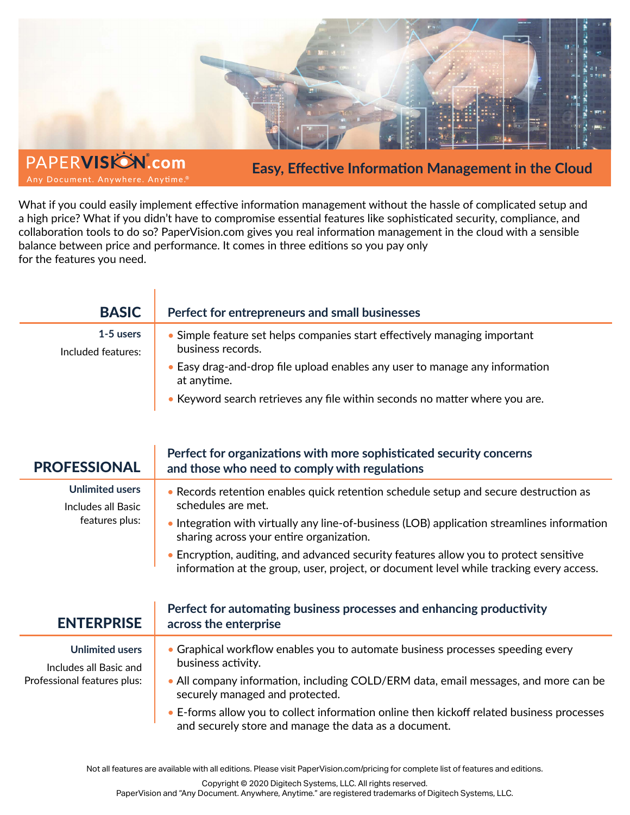

**Easy, Effective Information Management in the Cloud**

What if you could easily implement effective information management without the hassle of complicated setup and a high price? What if you didn't have to compromise essential features like sophisticated security, compliance, and collaboration tools to do so? PaperVision.com gives you real information management in the cloud with a sensible balance between price and performance. It comes in three editions so you pay only for the features you need.

Any Document. Anywhere. Anytime.

1

| <b>BASIC</b>                      | Perfect for entrepreneurs and small businesses                                                 |
|-----------------------------------|------------------------------------------------------------------------------------------------|
| $1-5$ users<br>Included features: | • Simple feature set helps companies start effectively managing important<br>business records. |
|                                   | • Easy drag-and-drop file upload enables any user to manage any information<br>at anytime.     |
|                                   | • Keyword search retrieves any file within seconds no matter where you are.                    |

| <b>PROFESSIONAL</b>                                                             | Perfect for organizations with more sophisticated security concerns<br>and those who need to comply with regulations                                                             |
|---------------------------------------------------------------------------------|----------------------------------------------------------------------------------------------------------------------------------------------------------------------------------|
| <b>Unlimited users</b><br>Includes all Basic<br>features plus:                  | • Records retention enables quick retention schedule setup and secure destruction as<br>schedules are met.                                                                       |
|                                                                                 | • Integration with virtually any line-of-business (LOB) application streamlines information<br>sharing across your entire organization.                                          |
|                                                                                 | • Encryption, auditing, and advanced security features allow you to protect sensitive<br>information at the group, user, project, or document level while tracking every access. |
| <b>ENTERPRISE</b>                                                               | Perfect for automating business processes and enhancing productivity<br>across the enterprise                                                                                    |
| <b>Unlimited users</b><br>Includes all Basic and<br>Professional features plus: | • Graphical workflow enables you to automate business processes speeding every<br>business activity.                                                                             |
|                                                                                 | • All company information, including COLD/ERM data, email messages, and more can be<br>securely managed and protected.                                                           |
|                                                                                 | • E-forms allow you to collect information online then kickoff related business processes<br>and securely store and manage the data as a document.                               |

Not all features are available with all editions. Please visit PaperVision.com/pricing for complete list of features and editions.

Copyright © 2020 Digitech Systems, LLC. All rights reserved.

PaperVision and "Any Document. Anywhere, Anytime." are registered trademarks of Digitech Systems, LLC.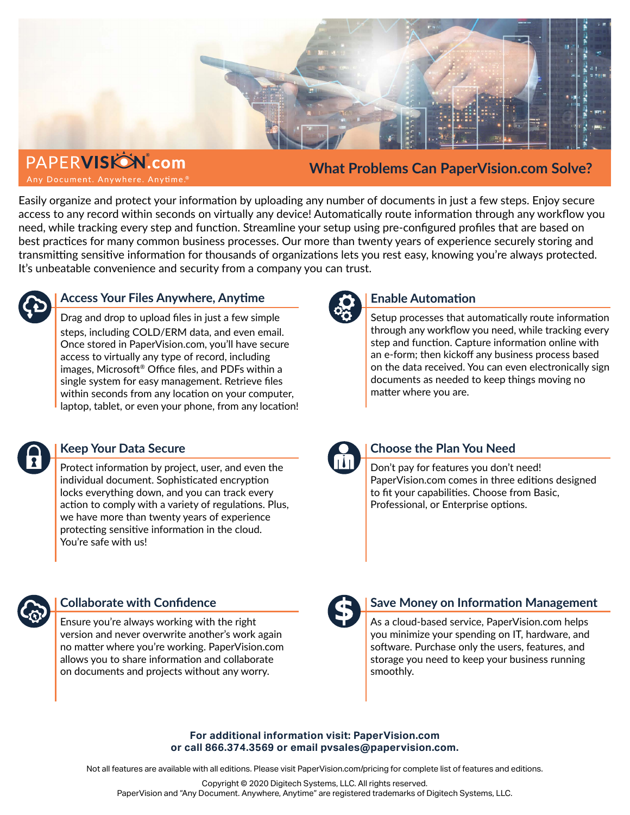

**PAPERVISIÓN**.com Any Document. Anywhere. Anytime.<sup>®</sup>

**What Problems Can PaperVision.com Solve?**

Easily organize and protect your information by uploading any number of documents in just a few steps. Enjoy secure access to any record within seconds on virtually any device! Automatically route information through any workflow you need, while tracking every step and function. Streamline your setup using pre-configured profiles that are based on best practices for many common business processes. Our more than twenty years of experience securely storing and transmitting sensitive information for thousands of organizations lets you rest easy, knowing you're always protected. It's unbeatable convenience and security from a company you can trust.



## **Access Your Files Anywhere, Anytime**

Drag and drop to upload files in just a few simple steps, including COLD/ERM data, and even email. Once stored in PaperVision.com, you'll have secure access to virtually any type of record, including images, Microsoft® Office files, and PDFs within a single system for easy management. Retrieve files within seconds from any location on your computer, laptop, tablet, or even your phone, from any location!



### **Enable Automation**

Setup processes that automatically route information through any workflow you need, while tracking every step and function. Capture information online with an e-form; then kickoff any business process based on the data received. You can even electronically sign documents as needed to keep things moving no matter where you are.



### **Keep Your Data Secure**

Protect information by project, user, and even the individual document. Sophisticated encryption locks everything down, and you can track every action to comply with a variety of regulations. Plus, we have more than twenty years of experience protecting sensitive information in the cloud. You're safe with us!



### **Choose the Plan You Need**

Don't pay for features you don't need! PaperVision.com comes in three editions designed to fit your capabilities. Choose from Basic, Professional, or Enterprise options.



### **Collaborate with Confidence**

Ensure you're always working with the right version and never overwrite another's work again no matter where you're working. PaperVision.com allows you to share information and collaborate on documents and projects without any worry.



### **Save Money on Information Management**

As a cloud-based service, PaperVision.com helps you minimize your spending on IT, hardware, and software. Purchase only the users, features, and storage you need to keep your business running smoothly.

#### **For additional information visit: PaperVision.com or call 866.374.3569 or email pvsales@papervision.com.**

Not all features are available with all editions. Please visit PaperVision.com/pricing for complete list of features and editions.

Copyright © 2020 Digitech Systems, LLC. All rights reserved. PaperVision and "Any Document. Anywhere, Anytime" are registered trademarks of Digitech Systems, LLC.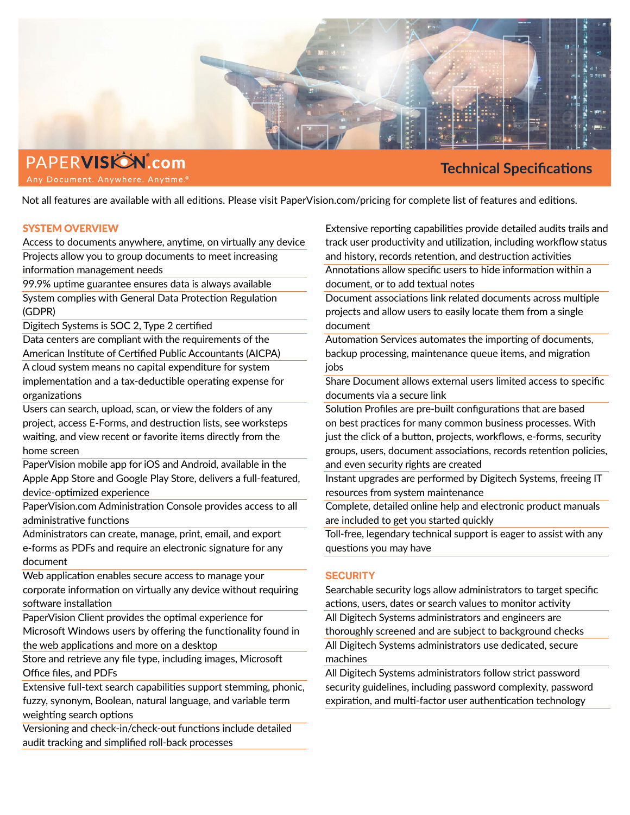

PAPERVISIÓN.com Any Document. Anywhere. Anytime.®

## **Technical Specifications**

Not all features are available with all editions. Please visit PaperVision.com/pricing for complete list of features and editions.

#### SYSTEM OVERVIEW

Access to documents anywhere, anytime, on virtually any device Projects allow you to group documents to meet increasing information management needs

99.9% uptime guarantee ensures data is always available System complies with General Data Protection Regulation (GDPR)

Digitech Systems is SOC 2, Type 2 certified

Data centers are compliant with the requirements of the American Institute of Certified Public Accountants (AICPA)

A cloud system means no capital expenditure for system implementation and a tax-deductible operating expense for organizations

Users can search, upload, scan, or view the folders of any project, access E-Forms, and destruction lists, see worksteps waiting, and view recent or favorite items directly from the home screen

PaperVision mobile app for iOS and Android, available in the Apple App Store and Google Play Store, delivers a full-featured, device-optimized experience

PaperVision.com Administration Console provides access to all administrative functions

Administrators can create, manage, print, email, and export e-forms as PDFs and require an electronic signature for any document

Web application enables secure access to manage your corporate information on virtually any device without requiring software installation

PaperVision Client provides the optimal experience for Microsoft Windows users by offering the functionality found in the web applications and more on a desktop

Store and retrieve any file type, including images, Microsoft Office files, and PDFs

Extensive full-text search capabilities support stemming, phonic, fuzzy, synonym, Boolean, natural language, and variable term weighting search options

Versioning and check-in/check-out functions include detailed audit tracking and simplified roll-back processes

Extensive reporting capabilities provide detailed audits trails and track user productivity and utilization, including workflow status and history, records retention, and destruction activities Annotations allow specific users to hide information within a document, or to add textual notes

Document associations link related documents across multiple projects and allow users to easily locate them from a single document

Automation Services automates the importing of documents, backup processing, maintenance queue items, and migration jobs

Share Document allows external users limited access to specific documents via a secure link

Solution Profiles are pre-built configurations that are based on best practices for many common business processes. With just the click of a button, projects, workflows, e-forms, security groups, users, document associations, records retention policies, and even security rights are created

Instant upgrades are performed by Digitech Systems, freeing IT resources from system maintenance

Complete, detailed online help and electronic product manuals are included to get you started quickly

Toll-free, legendary technical support is eager to assist with any questions you may have

### **SECURITY**

Searchable security logs allow administrators to target specific actions, users, dates or search values to monitor activity All Digitech Systems administrators and engineers are thoroughly screened and are subject to background checks All Digitech Systems administrators use dedicated, secure machines

All Digitech Systems administrators follow strict password security guidelines, including password complexity, password expiration, and multi-factor user authentication technology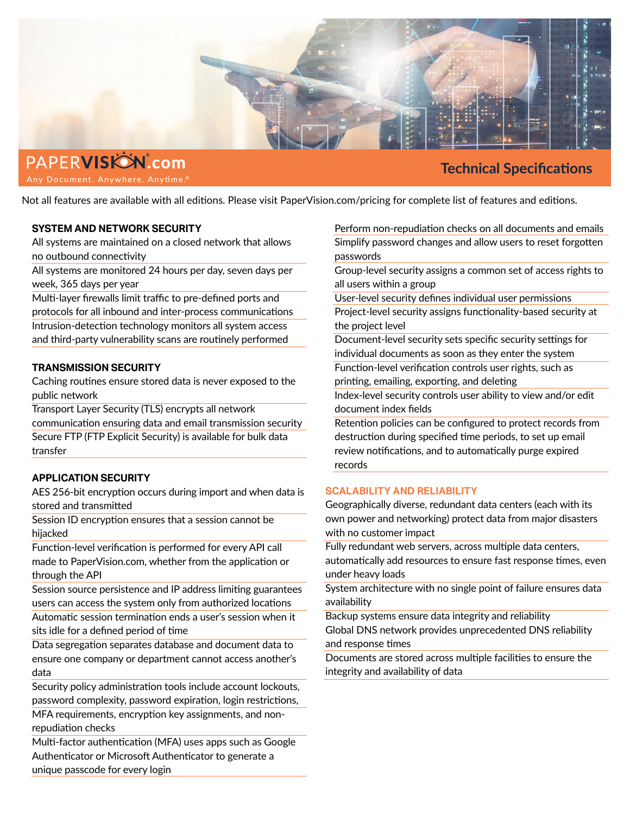

## PAPERVISIÓN.com Any Document. Anywhere. Anytime.<sup>®</sup>

# **Technical Specifications**

Not all features are available with all editions. Please visit PaperVision.com/pricing for complete list of features and editions.

#### **SYSTEM AND NETWORK SECURITY**

All systems are maintained on a closed network that allows no outbound connectivity

All systems are monitored 24 hours per day, seven days per week, 365 days per year

Multi-layer firewalls limit traffic to pre-defined ports and protocols for all inbound and inter-process communications Intrusion-detection technology monitors all system access and third-party vulnerability scans are routinely performed

#### **TRANSMISSION SECURITY**

Caching routines ensure stored data is never exposed to the public network

Transport Layer Security (TLS) encrypts all network communication ensuring data and email transmission security Secure FTP (FTP Explicit Security) is available for bulk data transfer

### **APPLICATION SECURITY**

AES 256-bit encryption occurs during import and when data is stored and transmitted

Session ID encryption ensures that a session cannot be hijacked

Function-level verification is performed for every API call made to PaperVision.com, whether from the application or through the API

Session source persistence and IP address limiting guarantees users can access the system only from authorized locations Automatic session termination ends a user's session when it sits idle for a defined period of time

Data segregation separates database and document data to ensure one company or department cannot access another's data

Security policy administration tools include account lockouts, password complexity, password expiration, login restrictions, MFA requirements, encryption key assignments, and non-

repudiation checks

Multi-factor authentication (MFA) uses apps such as Google Authenticator or Microsoft Authenticator to generate a unique passcode for every login

Perform non-repudiation checks on all documents and emails Simplify password changes and allow users to reset forgotten passwords

Group-level security assigns a common set of access rights to all users within a group

User-level security defines individual user permissions

Project-level security assigns functionality-based security at the project level

Document-level security sets specific security settings for individual documents as soon as they enter the system Function-level verification controls user rights, such as printing, emailing, exporting, and deleting

Index-level security controls user ability to view and/or edit document index fields

Retention policies can be configured to protect records from destruction during specified time periods, to set up email review notifications, and to automatically purge expired records

### **SCALABILITY AND RELIABILITY**

Geographically diverse, redundant data centers (each with its own power and networking) protect data from major disasters with no customer impact

Fully redundant web servers, across multiple data centers, automatically add resources to ensure fast response times, even under heavy loads

System architecture with no single point of failure ensures data availability

Backup systems ensure data integrity and reliability Global DNS network provides unprecedented DNS reliability

and response times Documents are stored across multiple facilities to ensure the

integrity and availability of data